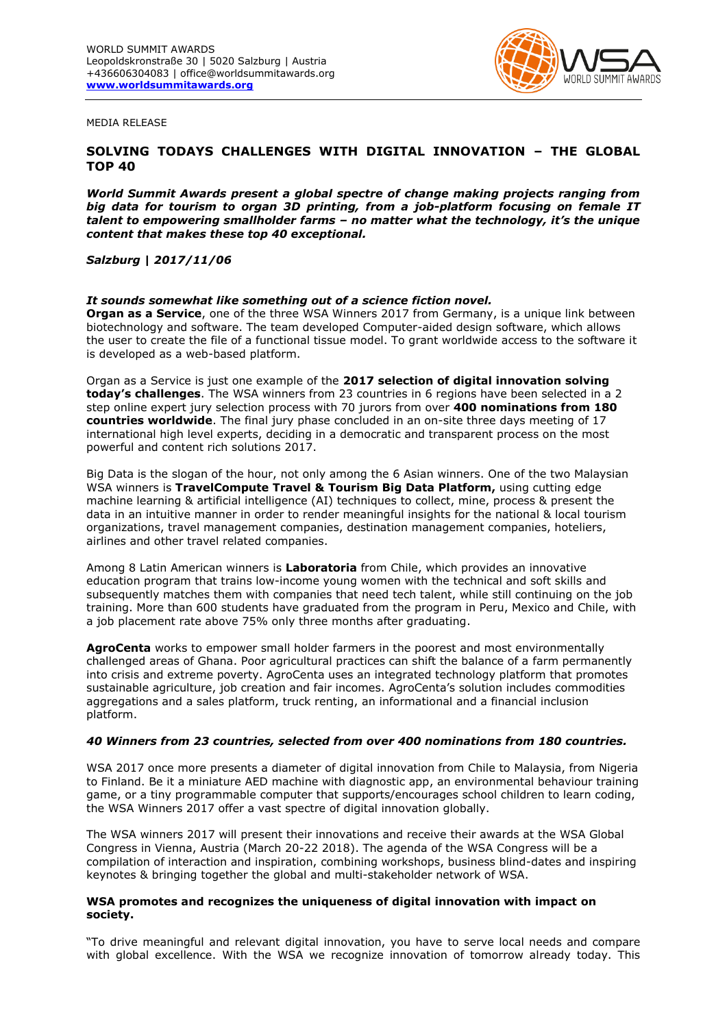

MEDIA RELEASE

# **SOLVING TODAYS CHALLENGES WITH DIGITAL INNOVATION – THE GLOBAL TOP 40**

*World Summit Awards present a global spectre of change making projects ranging from big data for tourism to organ 3D printing, from a job-platform focusing on female IT talent to empowering smallholder farms – no matter what the technology, it's the unique content that makes these top 40 exceptional.*

## *Salzburg | 2017/11/06*

#### *It sounds somewhat like something out of a science fiction novel.*

**Organ as a Service**, one of the three WSA Winners 2017 from Germany, is a unique link between biotechnology and software. The team developed Computer-aided design software, which allows the user to create the file of a functional tissue model. To grant worldwide access to the software it is developed as a web-based platform.

Organ as a Service is just one example of the **2017 selection of digital innovation solving today's challenges**. The WSA winners from 23 countries in 6 regions have been selected in a 2 step online expert jury selection process with 70 jurors from over **400 nominations from 180 countries worldwide**. The final jury phase concluded in an on-site three days meeting of 17 international high level experts, deciding in a democratic and transparent process on the most powerful and content rich solutions 2017.

Big Data is the slogan of the hour, not only among the 6 Asian winners. One of the two Malaysian WSA winners is **TravelCompute Travel & Tourism Big Data Platform,** using cutting edge machine learning & artificial intelligence (AI) techniques to collect, mine, process & present the data in an intuitive manner in order to render meaningful insights for the national & local tourism organizations, travel management companies, destination management companies, hoteliers, airlines and other travel related companies.

Among 8 Latin American winners is **Laboratoria** from Chile, which provides an innovative education program that trains low-income young women with the technical and soft skills and subsequently matches them with companies that need tech talent, while still continuing on the job training. More than 600 students have graduated from the program in Peru, Mexico and Chile, with a job placement rate above 75% only three months after graduating.

**AgroCenta** works to empower small holder farmers in the poorest and most environmentally challenged areas of Ghana. Poor agricultural practices can shift the balance of a farm permanently into crisis and extreme poverty. AgroCenta uses an integrated technology platform that promotes sustainable agriculture, job creation and fair incomes. AgroCenta's solution includes commodities aggregations and a sales platform, truck renting, an informational and a financial inclusion platform.

### *40 Winners from 23 countries, selected from over 400 nominations from 180 countries.*

WSA 2017 once more presents a diameter of digital innovation from Chile to Malaysia, from Nigeria to Finland. Be it a miniature AED machine with diagnostic app, an environmental behaviour training game, or a tiny programmable computer that supports/encourages school children to learn coding, the WSA Winners 2017 offer a vast spectre of digital innovation globally.

The WSA winners 2017 will present their innovations and receive their awards at the WSA Global Congress in Vienna, Austria (March 20-22 2018). The agenda of the WSA Congress will be a compilation of interaction and inspiration, combining workshops, business blind-dates and inspiring keynotes & bringing together the global and multi-stakeholder network of WSA.

# **WSA promotes and recognizes the uniqueness of digital innovation with impact on society.**

"To drive meaningful and relevant digital innovation, you have to serve local needs and compare with global excellence. With the WSA we recognize innovation of tomorrow already today. This